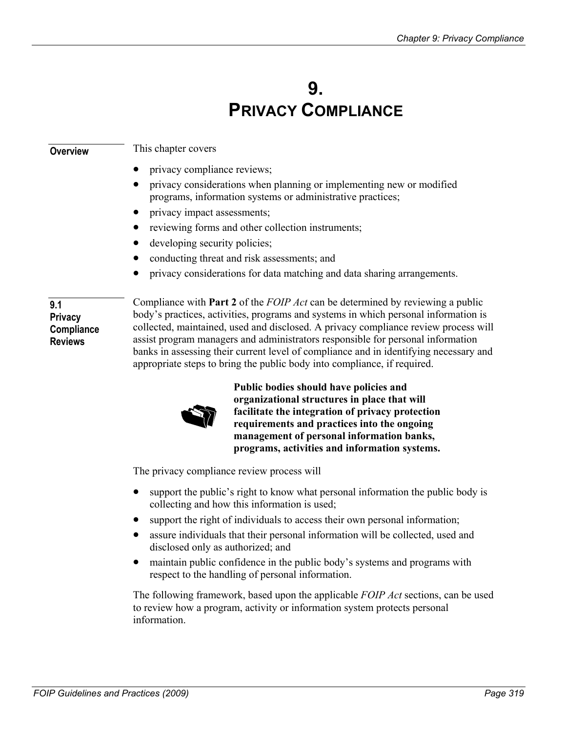# **9. PRIVACY COMPLIANCE**

| <b>Overview</b>                                       | This chapter covers                                                                                                                                                                                                                                                                                                                                                                                                                                                                                                                |
|-------------------------------------------------------|------------------------------------------------------------------------------------------------------------------------------------------------------------------------------------------------------------------------------------------------------------------------------------------------------------------------------------------------------------------------------------------------------------------------------------------------------------------------------------------------------------------------------------|
|                                                       | privacy compliance reviews;                                                                                                                                                                                                                                                                                                                                                                                                                                                                                                        |
|                                                       | privacy considerations when planning or implementing new or modified<br>programs, information systems or administrative practices;                                                                                                                                                                                                                                                                                                                                                                                                 |
|                                                       | privacy impact assessments;                                                                                                                                                                                                                                                                                                                                                                                                                                                                                                        |
|                                                       | reviewing forms and other collection instruments;                                                                                                                                                                                                                                                                                                                                                                                                                                                                                  |
|                                                       | developing security policies;                                                                                                                                                                                                                                                                                                                                                                                                                                                                                                      |
|                                                       | conducting threat and risk assessments; and                                                                                                                                                                                                                                                                                                                                                                                                                                                                                        |
|                                                       | privacy considerations for data matching and data sharing arrangements.                                                                                                                                                                                                                                                                                                                                                                                                                                                            |
| 9.1<br><b>Privacy</b><br>Compliance<br><b>Reviews</b> | Compliance with <b>Part 2</b> of the <i>FOIP Act</i> can be determined by reviewing a public<br>body's practices, activities, programs and systems in which personal information is<br>collected, maintained, used and disclosed. A privacy compliance review process will<br>assist program managers and administrators responsible for personal information<br>banks in assessing their current level of compliance and in identifying necessary and<br>appropriate steps to bring the public body into compliance, if required. |



**Public bodies should have policies and organizational structures in place that will facilitate the integration of privacy protection requirements and practices into the ongoing management of personal information banks, programs, activities and information systems.** 

The privacy compliance review process will

- $\bullet$ support the public's right to know what personal information the public body is collecting and how this information is used;
- support the right of individuals to access their own personal information;
- assure individuals that their personal information will be collected, used and disclosed only as authorized; and
- $\bullet$ maintain public confidence in the public body's systems and programs with respect to the handling of personal information.

The following framework, based upon the applicable *FOIP Act* sections, can be used to review how a program, activity or information system protects personal information.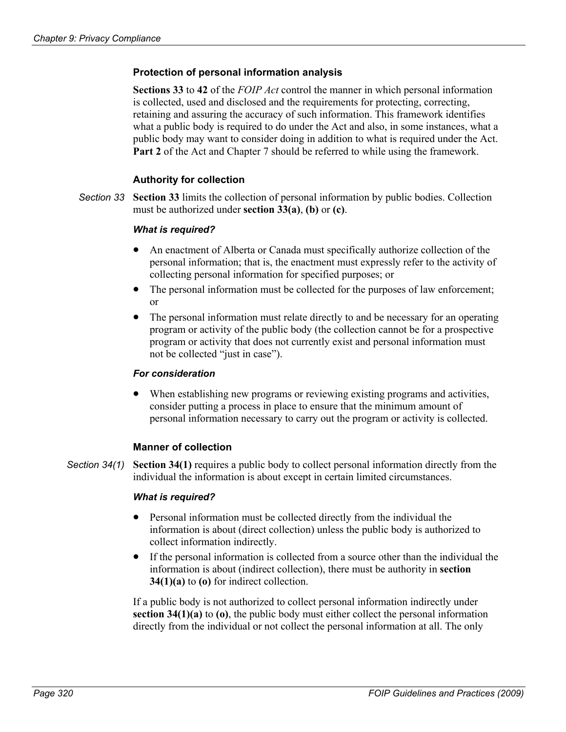## **Protection of personal information analysis**

**Sections 33** to **42** of the *FOIP Act* control the manner in which personal information is collected, used and disclosed and the requirements for protecting, correcting, retaining and assuring the accuracy of such information. This framework identifies what a public body is required to do under the Act and also, in some instances, what a public body may want to consider doing in addition to what is required under the Act. **Part 2** of the Act and Chapter 7 should be referred to while using the framework.

## **Authority for collection**

**Section 33** limits the collection of personal information by public bodies. Collection must be authorized under **section 33(a)**, **(b)** or **(c)**. *Section 33* 

#### *What is required?*

- An enactment of Alberta or Canada must specifically authorize collection of the personal information; that is, the enactment must expressly refer to the activity of collecting personal information for specified purposes; or
- $\bullet$ The personal information must be collected for the purposes of law enforcement; or
- $\bullet$ The personal information must relate directly to and be necessary for an operating program or activity of the public body (the collection cannot be for a prospective program or activity that does not currently exist and personal information must not be collected "just in case").

#### *For consideration*

• When establishing new programs or reviewing existing programs and activities, consider putting a process in place to ensure that the minimum amount of personal information necessary to carry out the program or activity is collected.

#### **Manner of collection**

**Section 34(1)** requires a public body to collect personal information directly from the individual the information is about except in certain limited circumstances. *Section 34(1)* 

#### *What is required?*

- $\bullet$ Personal information must be collected directly from the individual the information is about (direct collection) unless the public body is authorized to collect information indirectly.
- If the personal information is collected from a source other than the individual the information is about (indirect collection), there must be authority in **section 34(1)(a)** to **(o)** for indirect collection.

If a public body is not authorized to collect personal information indirectly under **section 34(1)(a)** to **(o)**, the public body must either collect the personal information directly from the individual or not collect the personal information at all. The only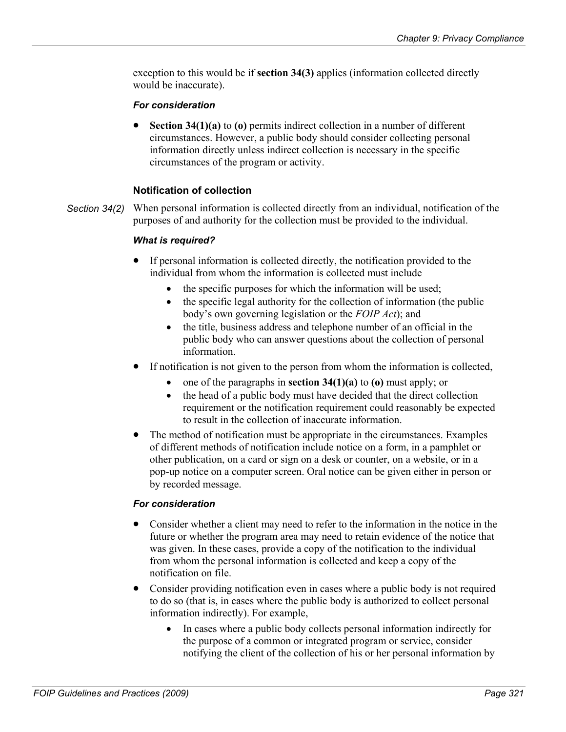exception to this would be if **section 34(3)** applies (information collected directly would be inaccurate).

## *For consideration*

• **Section 34(1)(a)** to **(o)** permits indirect collection in a number of different circumstances. However, a public body should consider collecting personal information directly unless indirect collection is necessary in the specific circumstances of the program or activity.

# **Notification of collection**

When personal information is collected directly from an individual, notification of the purposes of and authority for the collection must be provided to the individual. *Section 34(2)* 

## *What is required?*

- If personal information is collected directly, the notification provided to the individual from whom the information is collected must include
	- the specific purposes for which the information will be used;
	- the specific legal authority for the collection of information (the public body's own governing legislation or the *FOIP Act*); and
	- the title, business address and telephone number of an official in the public body who can answer questions about the collection of personal information.
- If notification is not given to the person from whom the information is collected,
	- one of the paragraphs in **section 34(1)(a)** to **(o)** must apply; or
	- the head of a public body must have decided that the direct collection requirement or the notification requirement could reasonably be expected to result in the collection of inaccurate information.
- The method of notification must be appropriate in the circumstances. Examples of different methods of notification include notice on a form, in a pamphlet or other publication, on a card or sign on a desk or counter, on a website, or in a pop-up notice on a computer screen. Oral notice can be given either in person or by recorded message.

# *For consideration*

- $\bullet$ Consider whether a client may need to refer to the information in the notice in the future or whether the program area may need to retain evidence of the notice that was given. In these cases, provide a copy of the notification to the individual from whom the personal information is collected and keep a copy of the notification on file.
- Consider providing notification even in cases where a public body is not required to do so (that is, in cases where the public body is authorized to collect personal information indirectly). For example,
	- In cases where a public body collects personal information indirectly for the purpose of a common or integrated program or service, consider notifying the client of the collection of his or her personal information by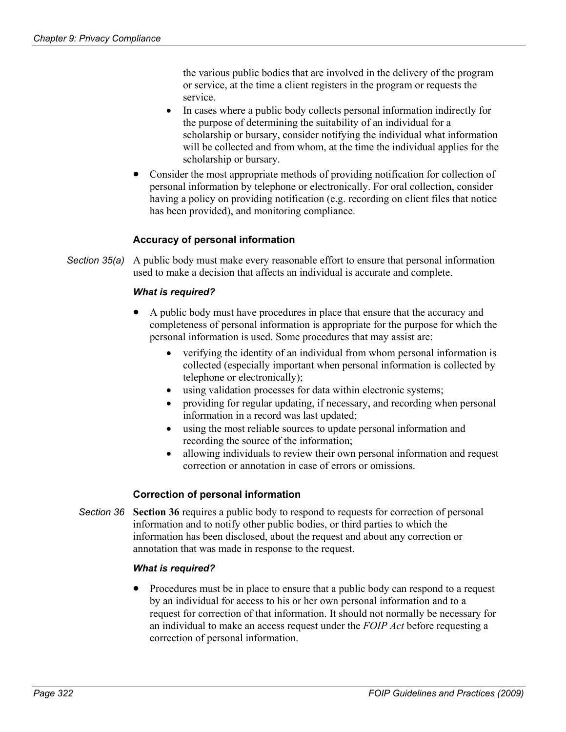the various public bodies that are involved in the delivery of the program or service, at the time a client registers in the program or requests the service.

- In cases where a public body collects personal information indirectly for the purpose of determining the suitability of an individual for a scholarship or bursary, consider notifying the individual what information will be collected and from whom, at the time the individual applies for the scholarship or bursary.
- Consider the most appropriate methods of providing notification for collection of personal information by telephone or electronically. For oral collection, consider having a policy on providing notification (e.g. recording on client files that notice has been provided), and monitoring compliance.

## **Accuracy of personal information**

Section 35(a) A public body must make every reasonable effort to ensure that personal information used to make a decision that affects an individual is accurate and complete.

#### *What is required?*

- A public body must have procedures in place that ensure that the accuracy and completeness of personal information is appropriate for the purpose for which the personal information is used. Some procedures that may assist are:
	- verifying the identity of an individual from whom personal information is collected (especially important when personal information is collected by telephone or electronically);
	- using validation processes for data within electronic systems;
	- providing for regular updating, if necessary, and recording when personal information in a record was last updated;
	- $\bullet$ using the most reliable sources to update personal information and recording the source of the information;
	- allowing individuals to review their own personal information and request correction or annotation in case of errors or omissions.

#### **Correction of personal information**

**Section 36** requires a public body to respond to requests for correction of personal information and to notify other public bodies, or third parties to which the information has been disclosed, about the request and about any correction or annotation that was made in response to the request. *Section 36* 

#### *What is required?*

• Procedures must be in place to ensure that a public body can respond to a request by an individual for access to his or her own personal information and to a request for correction of that information. It should not normally be necessary for an individual to make an access request under the *FOIP Act* before requesting a correction of personal information.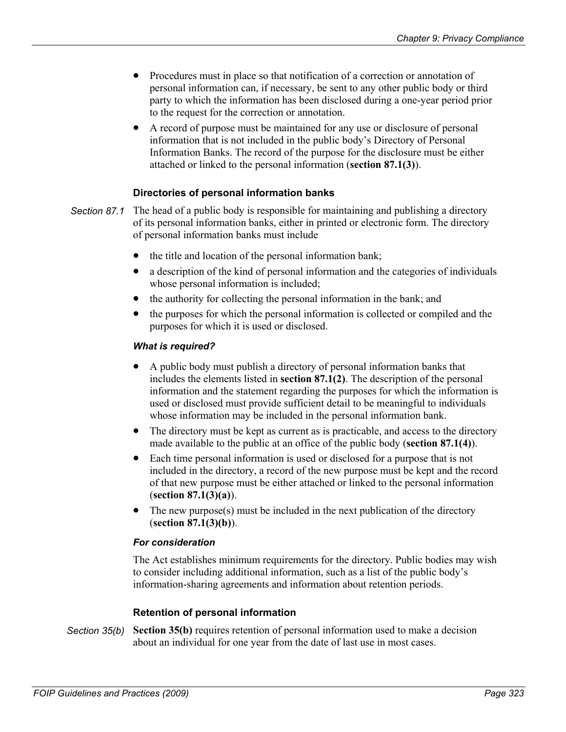- $\bullet$ Procedures must in place so that notification of a correction or annotation of personal information can, if necessary, be sent to any other public body or third party to which the information has been disclosed during a one-year period prior to the request for the correction or annotation.
- A record of purpose must be maintained for any use or disclosure of personal information that is not included in the public body's Directory of Personal Information Banks. The record of the purpose for the disclosure must be either attached or linked to the personal information (**section 87.1(3)**).

## **Directories of personal information banks**

- The head of a public body is responsible for maintaining and publishing a directory of its personal information banks, either in printed or electronic form. The directory of personal information banks must include *Section 87.1* 
	- the title and location of the personal information bank;
	- $\bullet$ a description of the kind of personal information and the categories of individuals whose personal information is included;
	- $\bullet$ the authority for collecting the personal information in the bank; and
	- the purposes for which the personal information is collected or compiled and the purposes for which it is used or disclosed.

#### *What is required?*

- A public body must publish a directory of personal information banks that includes the elements listed in **section 87.1(2)**. The description of the personal information and the statement regarding the purposes for which the information is used or disclosed must provide sufficient detail to be meaningful to individuals whose information may be included in the personal information bank.
- The directory must be kept as current as is practicable, and access to the directory made available to the public at an office of the public body (**section 87.1(4)**).
- Each time personal information is used or disclosed for a purpose that is not included in the directory, a record of the new purpose must be kept and the record of that new purpose must be either attached or linked to the personal information (**section 87.1(3)(a)**).
- The new purpose(s) must be included in the next publication of the directory (**section 87.1(3)(b)**).

#### *For consideration*

The Act establishes minimum requirements for the directory. Public bodies may wish to consider including additional information, such as a list of the public body's information-sharing agreements and information about retention periods.

#### **Retention of personal information**

**Section 35(b)** requires retention of personal information used to make a decision about an individual for one year from the date of last use in most cases. *Section 35(b)*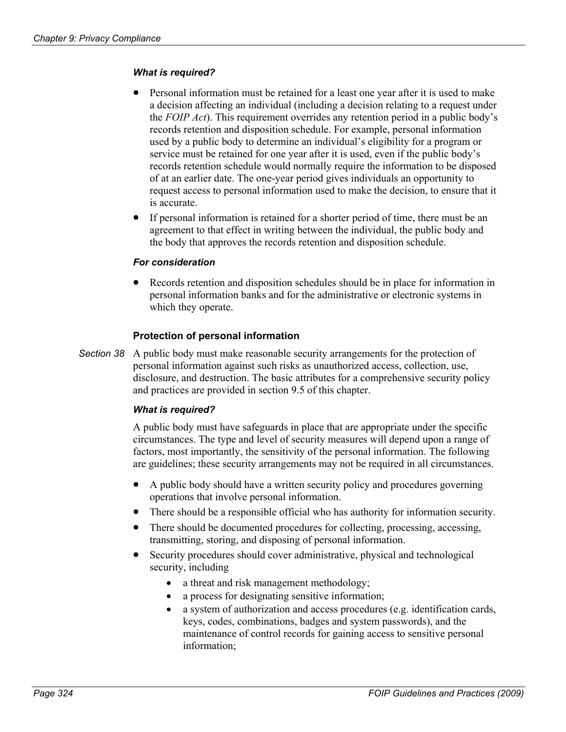## *What is required?*

- Personal information must be retained for a least one year after it is used to make a decision affecting an individual (including a decision relating to a request under the *FOIP Act*). This requirement overrides any retention period in a public body's records retention and disposition schedule. For example, personal information used by a public body to determine an individual's eligibility for a program or service must be retained for one year after it is used, even if the public body's records retention schedule would normally require the information to be disposed of at an earlier date. The one-year period gives individuals an opportunity to request access to personal information used to make the decision, to ensure that it is accurate.
- $\bullet$ If personal information is retained for a shorter period of time, there must be an agreement to that effect in writing between the individual, the public body and the body that approves the records retention and disposition schedule.

#### *For consideration*

• Records retention and disposition schedules should be in place for information in personal information banks and for the administrative or electronic systems in which they operate.

## **Protection of personal information**

Section 38 A public body must make reasonable security arrangements for the protection of personal information against such risks as unauthorized access, collection, use, disclosure, and destruction. The basic attributes for a comprehensive security policy and practices are provided in section 9.5 of this chapter.

## *What is required?*

A public body must have safeguards in place that are appropriate under the specific circumstances. The type and level of security measures will depend upon a range of factors, most importantly, the sensitivity of the personal information. The following are guidelines; these security arrangements may not be required in all circumstances.

- $\bullet$ A public body should have a written security policy and procedures governing operations that involve personal information.
- There should be a responsible official who has authority for information security.
- There should be documented procedures for collecting, processing, accessing, transmitting, storing, and disposing of personal information.
- Security procedures should cover administrative, physical and technological security, including
	- a threat and risk management methodology;
	- a process for designating sensitive information;
	- a system of authorization and access procedures (e.g. identification cards, keys, codes, combinations, badges and system passwords), and the maintenance of control records for gaining access to sensitive personal information;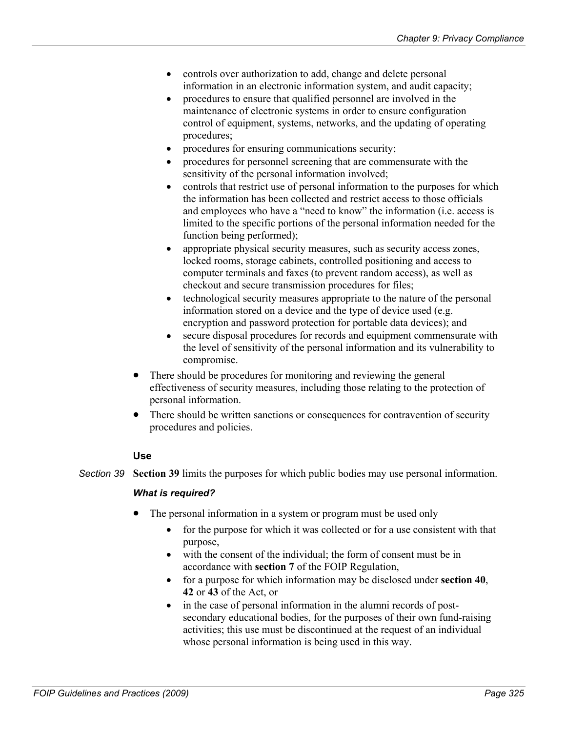- controls over authorization to add, change and delete personal information in an electronic information system, and audit capacity;
- $\bullet$ procedures to ensure that qualified personnel are involved in the maintenance of electronic systems in order to ensure configuration control of equipment, systems, networks, and the updating of operating procedures;
- procedures for ensuring communications security;
- procedures for personnel screening that are commensurate with the sensitivity of the personal information involved;
- $\bullet$ controls that restrict use of personal information to the purposes for which the information has been collected and restrict access to those officials and employees who have a "need to know" the information (i.e. access is limited to the specific portions of the personal information needed for the function being performed);
- $\bullet$ appropriate physical security measures, such as security access zones, locked rooms, storage cabinets, controlled positioning and access to computer terminals and faxes (to prevent random access), as well as checkout and secure transmission procedures for files;
- technological security measures appropriate to the nature of the personal information stored on a device and the type of device used (e.g. encryption and password protection for portable data devices); and
- secure disposal procedures for records and equipment commensurate with the level of sensitivity of the personal information and its vulnerability to compromise.
- There should be procedures for monitoring and reviewing the general effectiveness of security measures, including those relating to the protection of personal information.
- There should be written sanctions or consequences for contravention of security procedures and policies.

## **Use**

*Section 39* **Section 39** limits the purposes for which public bodies may use personal information.

#### *What is required?*

- The personal information in a system or program must be used only
	- for the purpose for which it was collected or for a use consistent with that purpose,
	- with the consent of the individual; the form of consent must be in accordance with **section 7** of the FOIP Regulation,
	- for a purpose for which information may be disclosed under **section 40**, **42** or **43** of the Act, or
	- in the case of personal information in the alumni records of postsecondary educational bodies, for the purposes of their own fund-raising activities; this use must be discontinued at the request of an individual whose personal information is being used in this way.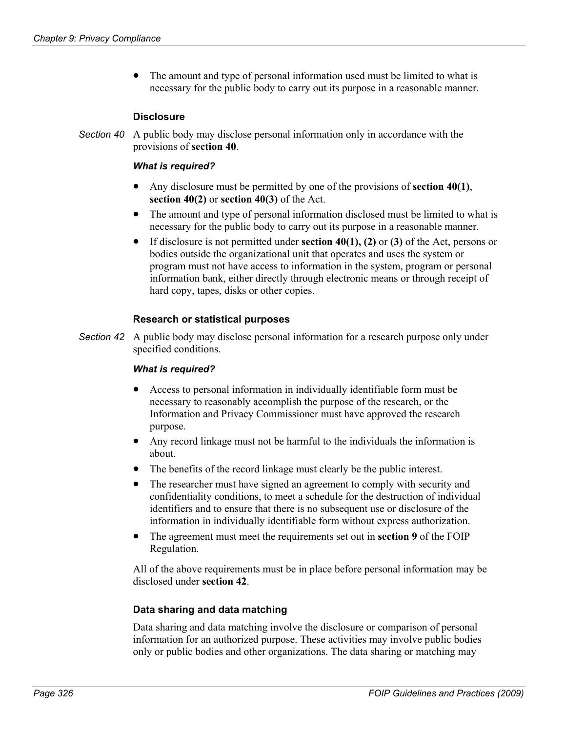• The amount and type of personal information used must be limited to what is necessary for the public body to carry out its purpose in a reasonable manner.

## **Disclosure**

Section 40 A public body may disclose personal information only in accordance with the provisions of **section 40**.

#### *What is required?*

- Any disclosure must be permitted by one of the provisions of **section 40(1)**, **section 40(2)** or **section 40(3)** of the Act.
- $\bullet$ The amount and type of personal information disclosed must be limited to what is necessary for the public body to carry out its purpose in a reasonable manner.
- $\bullet$ If disclosure is not permitted under **section 40(1), (2)** or **(3)** of the Act, persons or bodies outside the organizational unit that operates and uses the system or program must not have access to information in the system, program or personal information bank, either directly through electronic means or through receipt of hard copy, tapes, disks or other copies.

## **Research or statistical purposes**

Section 42 A public body may disclose personal information for a research purpose only under specified conditions.

#### *What is required?*

- Access to personal information in individually identifiable form must be necessary to reasonably accomplish the purpose of the research, or the Information and Privacy Commissioner must have approved the research purpose.
- Any record linkage must not be harmful to the individuals the information is about.
- The benefits of the record linkage must clearly be the public interest.
- $\bullet$ The researcher must have signed an agreement to comply with security and confidentiality conditions, to meet a schedule for the destruction of individual identifiers and to ensure that there is no subsequent use or disclosure of the information in individually identifiable form without express authorization.
- The agreement must meet the requirements set out in **section 9** of the FOIP Regulation.

All of the above requirements must be in place before personal information may be disclosed under **section 42**.

#### **Data sharing and data matching**

Data sharing and data matching involve the disclosure or comparison of personal information for an authorized purpose. These activities may involve public bodies only or public bodies and other organizations. The data sharing or matching may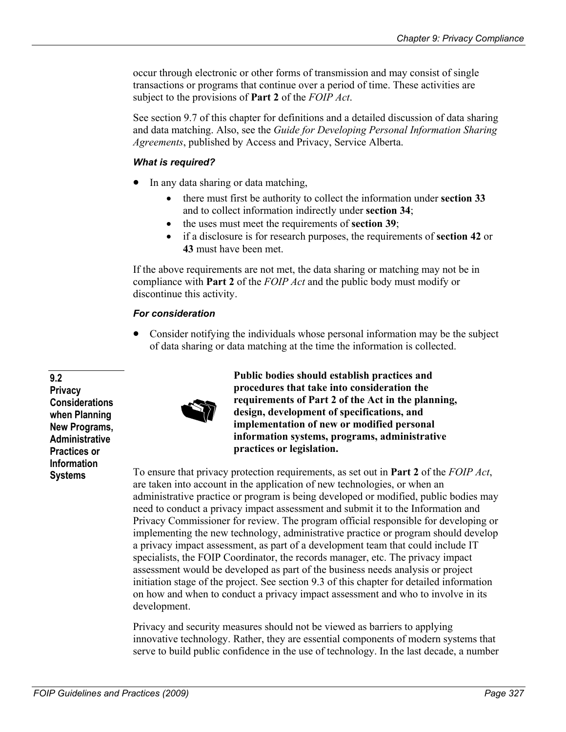occur through electronic or other forms of transmission and may consist of single transactions or programs that continue over a period of time. These activities are subject to the provisions of **Part 2** of the *FOIP Act*.

See section 9.7 of this chapter for definitions and a detailed discussion of data sharing and data matching. Also, see the *Guide for Developing Personal Information Sharing Agreements*, published by Access and Privacy, Service Alberta.

## *What is required?*

- In any data sharing or data matching,
	- there must first be authority to collect the information under **section 33** and to collect information indirectly under **section 34**;
	- the uses must meet the requirements of **section 39**;
	- if a disclosure is for research purposes, the requirements of **section 42** or **43** must have been met.

If the above requirements are not met, the data sharing or matching may not be in compliance with **Part 2** of the *FOIP Act* and the public body must modify or discontinue this activity.

## *For consideration*

• Consider notifying the individuals whose personal information may be the subject of data sharing or data matching at the time the information is collected.

**9.2 Privacy Considerations when Planning New Programs, Administrative Practices or Information** 



**Public bodies should establish practices and procedures that take into consideration the requirements of Part 2 of the Act in the planning, design, development of specifications, and implementation of new or modified personal information systems, programs, administrative practices or legislation.** 

**Systems** To ensure that privacy protection requirements, as set out in **Part 2** of the *FOIP Act*, are taken into account in the application of new technologies, or when an administrative practice or program is being developed or modified, public bodies may need to conduct a privacy impact assessment and submit it to the Information and Privacy Commissioner for review. The program official responsible for developing or implementing the new technology, administrative practice or program should develop a privacy impact assessment, as part of a development team that could include IT specialists, the FOIP Coordinator, the records manager, etc. The privacy impact assessment would be developed as part of the business needs analysis or project initiation stage of the project. See section 9.3 of this chapter for detailed information on how and when to conduct a privacy impact assessment and who to involve in its development.

> Privacy and security measures should not be viewed as barriers to applying innovative technology. Rather, they are essential components of modern systems that serve to build public confidence in the use of technology. In the last decade, a number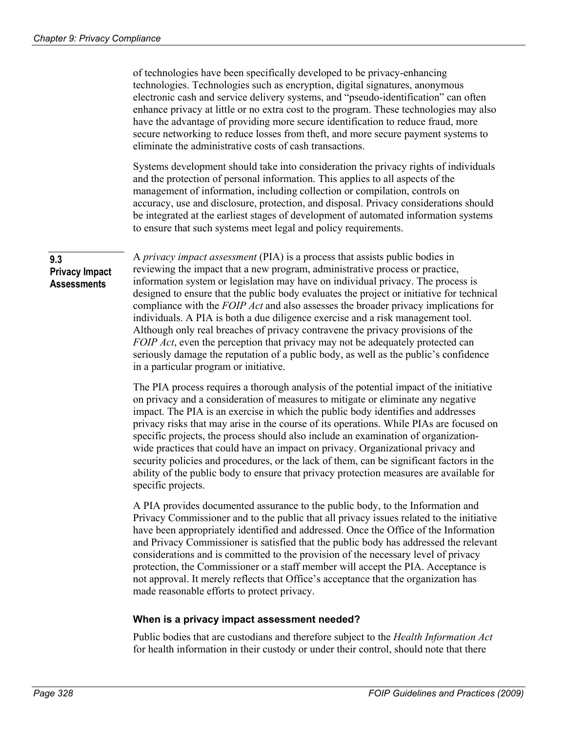of technologies have been specifically developed to be privacy-enhancing technologies. Technologies such as encryption, digital signatures, anonymous electronic cash and service delivery systems, and "pseudo-identification" can often enhance privacy at little or no extra cost to the program. These technologies may also have the advantage of providing more secure identification to reduce fraud, more secure networking to reduce losses from theft, and more secure payment systems to eliminate the administrative costs of cash transactions.

Systems development should take into consideration the privacy rights of individuals and the protection of personal information. This applies to all aspects of the management of information, including collection or compilation, controls on accuracy, use and disclosure, protection, and disposal. Privacy considerations should be integrated at the earliest stages of development of automated information systems to ensure that such systems meet legal and policy requirements.

## **9.3 Privacy Impact Assessments**

A *privacy impact assessment* (PIA) is a process that assists public bodies in reviewing the impact that a new program, administrative process or practice, information system or legislation may have on individual privacy. The process is designed to ensure that the public body evaluates the project or initiative for technical compliance with the *FOIP Act* and also assesses the broader privacy implications for individuals. A PIA is both a due diligence exercise and a risk management tool. Although only real breaches of privacy contravene the privacy provisions of the *FOIP Act*, even the perception that privacy may not be adequately protected can seriously damage the reputation of a public body, as well as the public's confidence in a particular program or initiative.

The PIA process requires a thorough analysis of the potential impact of the initiative on privacy and a consideration of measures to mitigate or eliminate any negative impact. The PIA is an exercise in which the public body identifies and addresses privacy risks that may arise in the course of its operations. While PIAs are focused on specific projects, the process should also include an examination of organizationwide practices that could have an impact on privacy. Organizational privacy and security policies and procedures, or the lack of them, can be significant factors in the ability of the public body to ensure that privacy protection measures are available for specific projects.

A PIA provides documented assurance to the public body, to the Information and Privacy Commissioner and to the public that all privacy issues related to the initiative have been appropriately identified and addressed. Once the Office of the Information and Privacy Commissioner is satisfied that the public body has addressed the relevant considerations and is committed to the provision of the necessary level of privacy protection, the Commissioner or a staff member will accept the PIA. Acceptance is not approval. It merely reflects that Office's acceptance that the organization has made reasonable efforts to protect privacy.

## **When is a privacy impact assessment needed?**

Public bodies that are custodians and therefore subject to the *Health Information Act* for health information in their custody or under their control, should note that there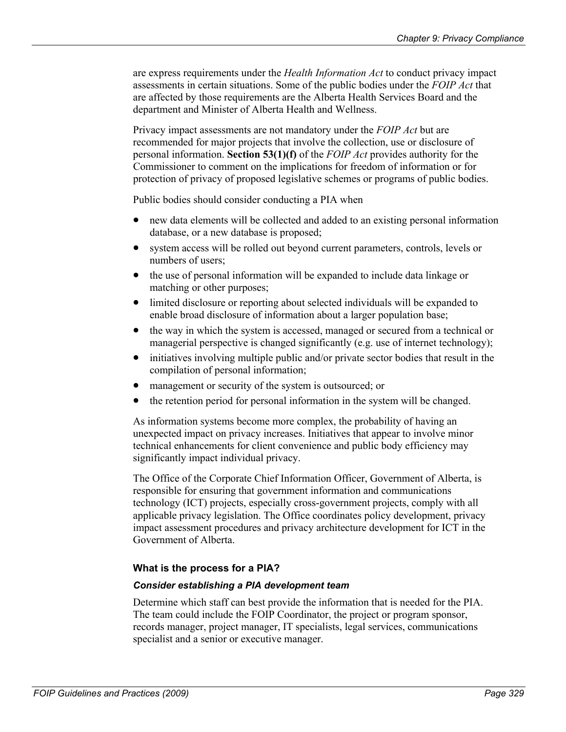are express requirements under the *Health Information Act* to conduct privacy impact assessments in certain situations. Some of the public bodies under the *FOIP Act* that are affected by those requirements are the Alberta Health Services Board and the department and Minister of Alberta Health and Wellness.

Privacy impact assessments are not mandatory under the *FOIP Act* but are recommended for major projects that involve the collection, use or disclosure of personal information. **Section 53(1)(f)** of the *FOIP Act* provides authority for the Commissioner to comment on the implications for freedom of information or for protection of privacy of proposed legislative schemes or programs of public bodies.

Public bodies should consider conducting a PIA when

- new data elements will be collected and added to an existing personal information database, or a new database is proposed;
- system access will be rolled out beyond current parameters, controls, levels or numbers of users;
- $\bullet$ the use of personal information will be expanded to include data linkage or matching or other purposes;
- $\bullet$ limited disclosure or reporting about selected individuals will be expanded to enable broad disclosure of information about a larger population base;
- $\bullet$ the way in which the system is accessed, managed or secured from a technical or managerial perspective is changed significantly (e.g. use of internet technology);
- $\bullet$ initiatives involving multiple public and/or private sector bodies that result in the compilation of personal information;
- management or security of the system is outsourced; or
- the retention period for personal information in the system will be changed.

As information systems become more complex, the probability of having an unexpected impact on privacy increases. Initiatives that appear to involve minor technical enhancements for client convenience and public body efficiency may significantly impact individual privacy.

The Office of the Corporate Chief Information Officer, Government of Alberta, is responsible for ensuring that government information and communications technology (ICT) projects, especially cross-government projects, comply with all applicable privacy legislation. The Office coordinates policy development, privacy impact assessment procedures and privacy architecture development for ICT in the Government of Alberta.

## **What is the process for a PIA?**

## *Consider establishing a PIA development team*

Determine which staff can best provide the information that is needed for the PIA. The team could include the FOIP Coordinator, the project or program sponsor, records manager, project manager, IT specialists, legal services, communications specialist and a senior or executive manager.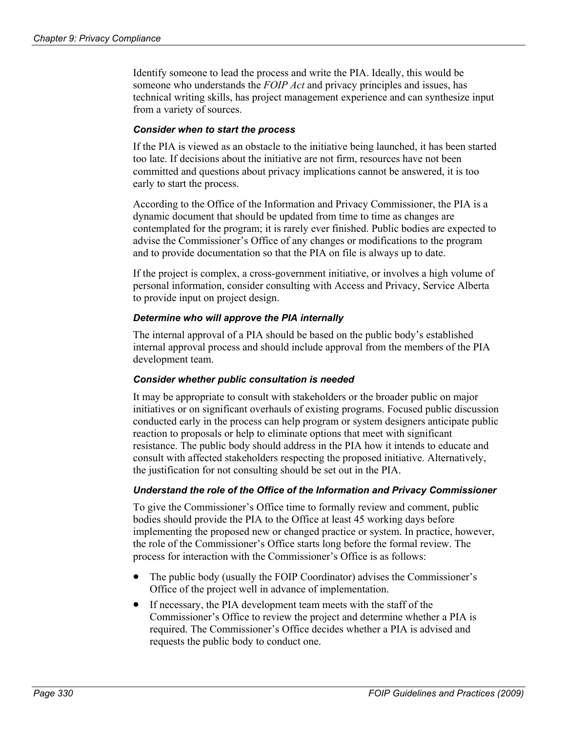Identify someone to lead the process and write the PIA. Ideally, this would be someone who understands the *FOIP Act* and privacy principles and issues, has technical writing skills, has project management experience and can synthesize input from a variety of sources.

#### *Consider when to start the process*

If the PIA is viewed as an obstacle to the initiative being launched, it has been started too late. If decisions about the initiative are not firm, resources have not been committed and questions about privacy implications cannot be answered, it is too early to start the process.

According to the Office of the Information and Privacy Commissioner, the PIA is a dynamic document that should be updated from time to time as changes are contemplated for the program; it is rarely ever finished. Public bodies are expected to advise the Commissioner's Office of any changes or modifications to the program and to provide documentation so that the PIA on file is always up to date.

If the project is complex, a cross-government initiative, or involves a high volume of personal information, consider consulting with Access and Privacy, Service Alberta to provide input on project design.

## *Determine who will approve the PIA internally*

The internal approval of a PIA should be based on the public body's established internal approval process and should include approval from the members of the PIA development team.

#### *Consider whether public consultation is needed*

It may be appropriate to consult with stakeholders or the broader public on major initiatives or on significant overhauls of existing programs. Focused public discussion conducted early in the process can help program or system designers anticipate public reaction to proposals or help to eliminate options that meet with significant resistance. The public body should address in the PIA how it intends to educate and consult with affected stakeholders respecting the proposed initiative. Alternatively, the justification for not consulting should be set out in the PIA.

#### *Understand the role of the Office of the Information and Privacy Commissioner*

To give the Commissioner's Office time to formally review and comment, public bodies should provide the PIA to the Office at least 45 working days before implementing the proposed new or changed practice or system. In practice, however, the role of the Commissioner's Office starts long before the formal review. The process for interaction with the Commissioner's Office is as follows:

- The public body (usually the FOIP Coordinator) advises the Commissioner's Office of the project well in advance of implementation.
- $\bullet$ If necessary, the PIA development team meets with the staff of the Commissioner's Office to review the project and determine whether a PIA is required. The Commissioner's Office decides whether a PIA is advised and requests the public body to conduct one.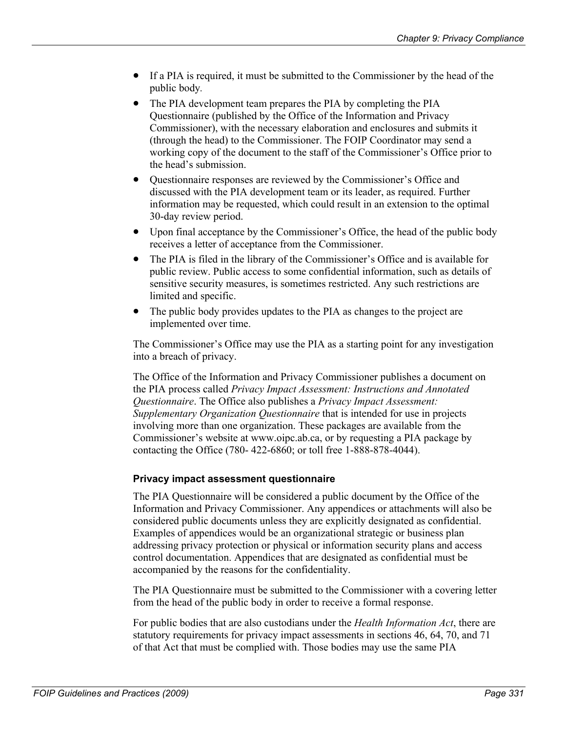- If a PIA is required, it must be submitted to the Commissioner by the head of the public body*.*
- The PIA development team prepares the PIA by completing the PIA Questionnaire (published by the Office of the Information and Privacy Commissioner), with the necessary elaboration and enclosures and submits it (through the head) to the Commissioner. The FOIP Coordinator may send a working copy of the document to the staff of the Commissioner's Office prior to the head's submission.
- Questionnaire responses are reviewed by the Commissioner's Office and discussed with the PIA development team or its leader, as required. Further information may be requested, which could result in an extension to the optimal 30-day review period.
- $\bullet$ Upon final acceptance by the Commissioner's Office, the head of the public body receives a letter of acceptance from the Commissioner.
- $\bullet$ The PIA is filed in the library of the Commissioner's Office and is available for public review. Public access to some confidential information, such as details of sensitive security measures, is sometimes restricted. Any such restrictions are limited and specific.
- The public body provides updates to the PIA as changes to the project are implemented over time.

The Commissioner's Office may use the PIA as a starting point for any investigation into a breach of privacy.

The Office of the Information and Privacy Commissioner publishes a document on the PIA process called *Privacy Impact Assessment: Instructions and Annotated Questionnaire*. The Office also publishes a *Privacy Impact Assessment: Supplementary Organization Questionnaire* that is intended for use in projects involving more than one organization. These packages are available from the Commissioner's website at www.oipc.ab.ca, or by requesting a PIA package by contacting the Office (780- 422-6860; or toll free 1-888-878-4044).

## **Privacy impact assessment questionnaire**

The PIA Questionnaire will be considered a public document by the Office of the Information and Privacy Commissioner. Any appendices or attachments will also be considered public documents unless they are explicitly designated as confidential. Examples of appendices would be an organizational strategic or business plan addressing privacy protection or physical or information security plans and access control documentation. Appendices that are designated as confidential must be accompanied by the reasons for the confidentiality.

The PIA Questionnaire must be submitted to the Commissioner with a covering letter from the head of the public body in order to receive a formal response.

For public bodies that are also custodians under the *Health Information Act*, there are statutory requirements for privacy impact assessments in sections 46, 64, 70, and 71 of that Act that must be complied with. Those bodies may use the same PIA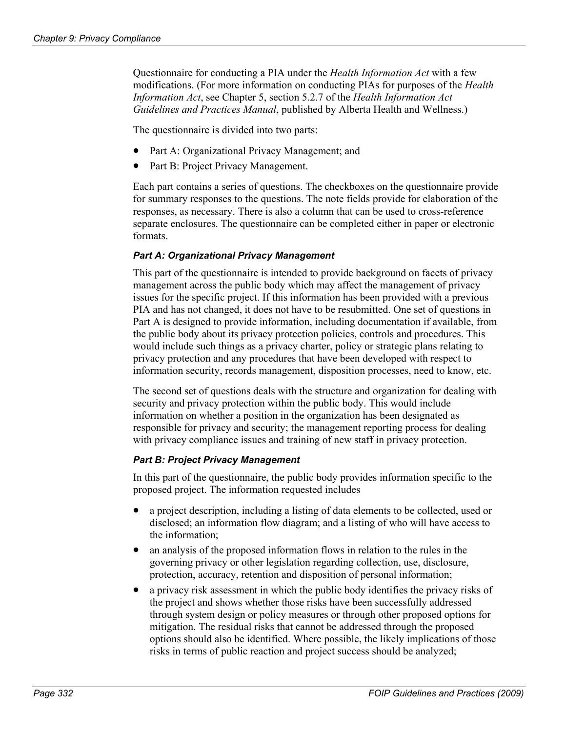Questionnaire for conducting a PIA under the *Health Information Act* with a few modifications. (For more information on conducting PIAs for purposes of the *Health Information Act*, see Chapter 5, section 5.2.7 of the *Health Information Act Guidelines and Practices Manual*, published by Alberta Health and Wellness.)

The questionnaire is divided into two parts:

- Part A: Organizational Privacy Management; and
- Part B: Project Privacy Management.

Each part contains a series of questions. The checkboxes on the questionnaire provide for summary responses to the questions. The note fields provide for elaboration of the responses, as necessary. There is also a column that can be used to cross-reference separate enclosures. The questionnaire can be completed either in paper or electronic formats.

## *Part A: Organizational Privacy Management*

This part of the questionnaire is intended to provide background on facets of privacy management across the public body which may affect the management of privacy issues for the specific project. If this information has been provided with a previous PIA and has not changed, it does not have to be resubmitted. One set of questions in Part A is designed to provide information, including documentation if available, from the public body about its privacy protection policies, controls and procedures. This would include such things as a privacy charter, policy or strategic plans relating to privacy protection and any procedures that have been developed with respect to information security, records management, disposition processes, need to know, etc.

The second set of questions deals with the structure and organization for dealing with security and privacy protection within the public body. This would include information on whether a position in the organization has been designated as responsible for privacy and security; the management reporting process for dealing with privacy compliance issues and training of new staff in privacy protection.

## *Part B: Project Privacy Management*

In this part of the questionnaire, the public body provides information specific to the proposed project. The information requested includes

- a project description, including a listing of data elements to be collected, used or disclosed; an information flow diagram; and a listing of who will have access to the information;
- $\bullet$ an analysis of the proposed information flows in relation to the rules in the governing privacy or other legislation regarding collection, use, disclosure, protection, accuracy, retention and disposition of personal information;
- $\bullet$ a privacy risk assessment in which the public body identifies the privacy risks of the project and shows whether those risks have been successfully addressed through system design or policy measures or through other proposed options for mitigation. The residual risks that cannot be addressed through the proposed options should also be identified. Where possible, the likely implications of those risks in terms of public reaction and project success should be analyzed;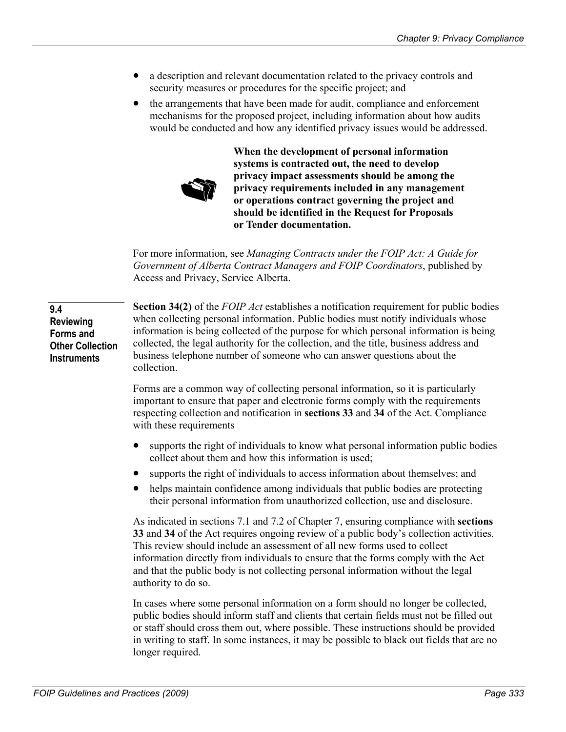- a description and relevant documentation related to the privacy controls and security measures or procedures for the specific project; and
- $\bullet$ the arrangements that have been made for audit, compliance and enforcement mechanisms for the proposed project, including information about how audits would be conducted and how any identified privacy issues would be addressed.



**When the development of personal information systems is contracted out, the need to develop privacy impact assessments should be among the privacy requirements included in any management or operations contract governing the project and should be identified in the Request for Proposals or Tender documentation.** 

For more information, see *Managing Contracts under the FOIP Act: A Guide for Government of Alberta Contract Managers and FOIP Coordinators*, published by Access and Privacy, Service Alberta.

**Section 34(2)** of the *FOIP Act* establishes a notification requirement for public bodies when collecting personal information. Public bodies must notify individuals whose information is being collected of the purpose for which personal information is being collected, the legal authority for the collection, and the title, business address and business telephone number of someone who can answer questions about the collection. **Other Collection** 

> Forms are a common way of collecting personal information, so it is particularly important to ensure that paper and electronic forms comply with the requirements respecting collection and notification in **sections 33** and **34** of the Act. Compliance with these requirements

- supports the right of individuals to know what personal information public bodies collect about them and how this information is used;
- $\bullet$ supports the right of individuals to access information about themselves; and
- helps maintain confidence among individuals that public bodies are protecting their personal information from unauthorized collection, use and disclosure.

As indicated in sections 7.1 and 7.2 of Chapter 7, ensuring compliance with **sections 33** and **34** of the Act requires ongoing review of a public body's collection activities. This review should include an assessment of all new forms used to collect information directly from individuals to ensure that the forms comply with the Act and that the public body is not collecting personal information without the legal authority to do so.

In cases where some personal information on a form should no longer be collected, public bodies should inform staff and clients that certain fields must not be filled out or staff should cross them out, where possible. These instructions should be provided in writing to staff. In some instances, it may be possible to black out fields that are no longer required.

**9.4** 

**Reviewing Forms and** 

**Instruments**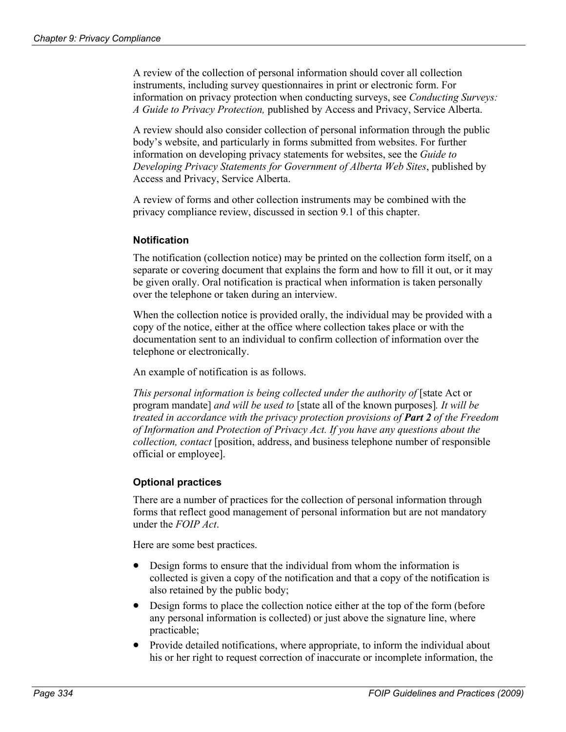A review of the collection of personal information should cover all collection instruments, including survey questionnaires in print or electronic form. For information on privacy protection when conducting surveys, see *Conducting Surveys: A Guide to Privacy Protection,* published by Access and Privacy, Service Alberta.

A review should also consider collection of personal information through the public body's website, and particularly in forms submitted from websites. For further information on developing privacy statements for websites, see the *Guide to Developing Privacy Statements for Government of Alberta Web Sites*, published by Access and Privacy, Service Alberta.

A review of forms and other collection instruments may be combined with the privacy compliance review, discussed in section 9.1 of this chapter.

## **Notification**

The notification (collection notice) may be printed on the collection form itself, on a separate or covering document that explains the form and how to fill it out, or it may be given orally. Oral notification is practical when information is taken personally over the telephone or taken during an interview.

When the collection notice is provided orally, the individual may be provided with a copy of the notice, either at the office where collection takes place or with the documentation sent to an individual to confirm collection of information over the telephone or electronically.

An example of notification is as follows.

*This personal information is being collected under the authority of* [state Act or program mandate] *and will be used to* [state all of the known purposes]*. It will be treated in accordance with the privacy protection provisions of Part 2 of the Freedom of Information and Protection of Privacy Act. If you have any questions about the collection, contact* [position, address, and business telephone number of responsible official or employee].

# **Optional practices**

There are a number of practices for the collection of personal information through forms that reflect good management of personal information but are not mandatory under the *FOIP Act*.

Here are some best practices.

- Design forms to ensure that the individual from whom the information is collected is given a copy of the notification and that a copy of the notification is also retained by the public body;
- Design forms to place the collection notice either at the top of the form (before any personal information is collected) or just above the signature line, where practicable;
- Provide detailed notifications, where appropriate, to inform the individual about his or her right to request correction of inaccurate or incomplete information, the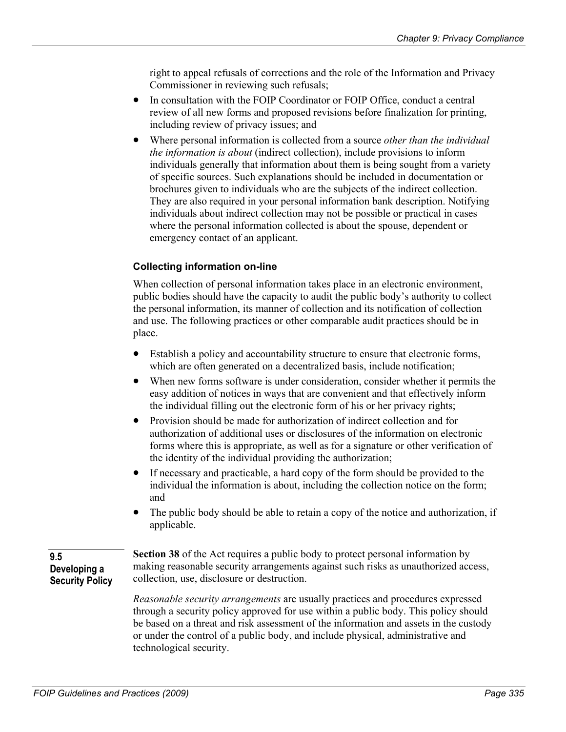right to appeal refusals of corrections and the role of the Information and Privacy Commissioner in reviewing such refusals;

- $\bullet$ In consultation with the FOIP Coordinator or FOIP Office, conduct a central review of all new forms and proposed revisions before finalization for printing, including review of privacy issues; and
- $\bullet$ Where personal information is collected from a source *other than the individual the information is about* (indirect collection), include provisions to inform individuals generally that information about them is being sought from a variety of specific sources. Such explanations should be included in documentation or brochures given to individuals who are the subjects of the indirect collection. They are also required in your personal information bank description. Notifying individuals about indirect collection may not be possible or practical in cases where the personal information collected is about the spouse, dependent or emergency contact of an applicant.

# **Collecting information on-line**

When collection of personal information takes place in an electronic environment, public bodies should have the capacity to audit the public body's authority to collect the personal information, its manner of collection and its notification of collection and use. The following practices or other comparable audit practices should be in place.

- Establish a policy and accountability structure to ensure that electronic forms, which are often generated on a decentralized basis, include notification;
- When new forms software is under consideration, consider whether it permits the easy addition of notices in ways that are convenient and that effectively inform the individual filling out the electronic form of his or her privacy rights;
- Provision should be made for authorization of indirect collection and for authorization of additional uses or disclosures of the information on electronic forms where this is appropriate, as well as for a signature or other verification of the identity of the individual providing the authorization;
- $\bullet$ If necessary and practicable, a hard copy of the form should be provided to the individual the information is about, including the collection notice on the form; and
- The public body should be able to retain a copy of the notice and authorization, if applicable.

#### **9.5 Developing a Security Policy**

**Section 38** of the Act requires a public body to protect personal information by making reasonable security arrangements against such risks as unauthorized access, collection, use, disclosure or destruction.

*Reasonable security arrangements* are usually practices and procedures expressed through a security policy approved for use within a public body. This policy should be based on a threat and risk assessment of the information and assets in the custody or under the control of a public body, and include physical, administrative and technological security.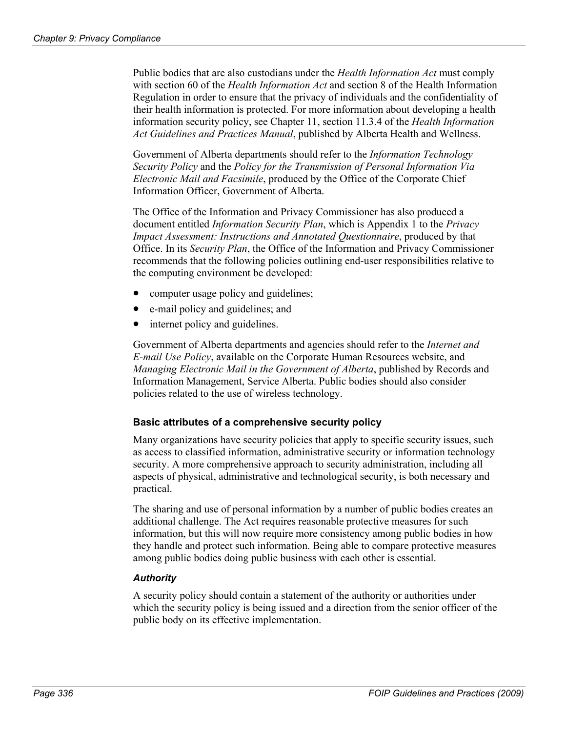Public bodies that are also custodians under the *Health Information Act* must comply with section 60 of the *Health Information Act* and section 8 of the Health Information Regulation in order to ensure that the privacy of individuals and the confidentiality of their health information is protected. For more information about developing a health information security policy, see Chapter 11, section 11.3.4 of the *Health Information Act Guidelines and Practices Manual*, published by Alberta Health and Wellness.

Government of Alberta departments should refer to the *Information Technology Security Policy* and the *Policy for the Transmission of Personal Information Via Electronic Mail and Facsimile*, produced by the Office of the Corporate Chief Information Officer, Government of Alberta.

The Office of the Information and Privacy Commissioner has also produced a document entitled *Information Security Plan*, which is Appendix 1 to the *Privacy Impact Assessment: Instructions and Annotated Questionnaire*, produced by that Office. In its *Security Plan*, the Office of the Information and Privacy Commissioner recommends that the following policies outlining end-user responsibilities relative to the computing environment be developed:

- computer usage policy and guidelines;
- e-mail policy and guidelines; and
- internet policy and guidelines.

Government of Alberta departments and agencies should refer to the *Internet and E-mail Use Policy*, available on the Corporate Human Resources website, and *Managing Electronic Mail in the Government of Alberta*, published by Records and Information Management, Service Alberta. Public bodies should also consider policies related to the use of wireless technology.

## **Basic attributes of a comprehensive security policy**

Many organizations have security policies that apply to specific security issues, such as access to classified information, administrative security or information technology security. A more comprehensive approach to security administration, including all aspects of physical, administrative and technological security, is both necessary and practical.

The sharing and use of personal information by a number of public bodies creates an additional challenge. The Act requires reasonable protective measures for such information, but this will now require more consistency among public bodies in how they handle and protect such information. Being able to compare protective measures among public bodies doing public business with each other is essential.

#### *Authority*

A security policy should contain a statement of the authority or authorities under which the security policy is being issued and a direction from the senior officer of the public body on its effective implementation.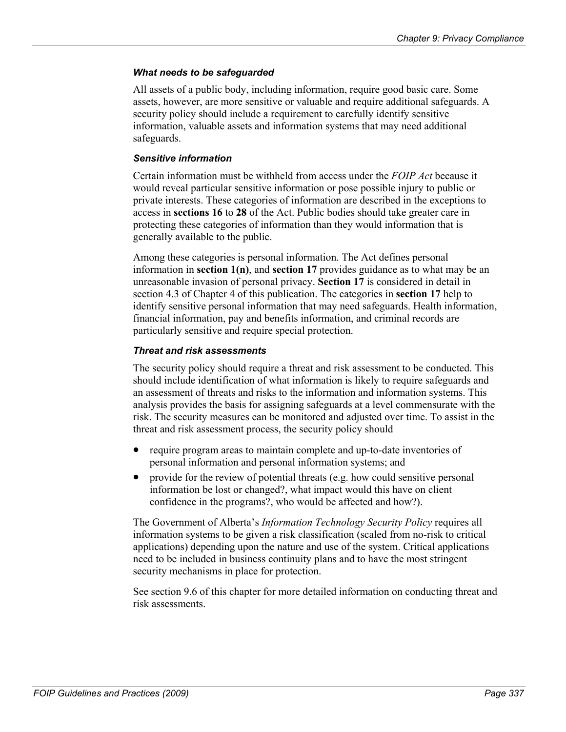## *What needs to be safeguarded*

All assets of a public body, including information, require good basic care. Some assets, however, are more sensitive or valuable and require additional safeguards. A security policy should include a requirement to carefully identify sensitive information, valuable assets and information systems that may need additional safeguards.

## *Sensitive information*

Certain information must be withheld from access under the *FOIP Act* because it would reveal particular sensitive information or pose possible injury to public or private interests. These categories of information are described in the exceptions to access in **sections 16** to **28** of the Act. Public bodies should take greater care in protecting these categories of information than they would information that is generally available to the public.

Among these categories is personal information. The Act defines personal information in **section 1(n)**, and **section 17** provides guidance as to what may be an unreasonable invasion of personal privacy. **Section 17** is considered in detail in section 4.3 of Chapter 4 of this publication. The categories in **section 17** help to identify sensitive personal information that may need safeguards. Health information, financial information, pay and benefits information, and criminal records are particularly sensitive and require special protection.

## *Threat and risk assessments*

The security policy should require a threat and risk assessment to be conducted. This should include identification of what information is likely to require safeguards and an assessment of threats and risks to the information and information systems. This analysis provides the basis for assigning safeguards at a level commensurate with the risk. The security measures can be monitored and adjusted over time. To assist in the threat and risk assessment process, the security policy should

- require program areas to maintain complete and up-to-date inventories of personal information and personal information systems; and
- provide for the review of potential threats (e.g. how could sensitive personal information be lost or changed?, what impact would this have on client confidence in the programs?, who would be affected and how?).

The Government of Alberta's *Information Technology Security Policy* requires all information systems to be given a risk classification (scaled from no-risk to critical applications) depending upon the nature and use of the system. Critical applications need to be included in business continuity plans and to have the most stringent security mechanisms in place for protection.

See section 9.6 of this chapter for more detailed information on conducting threat and risk assessments.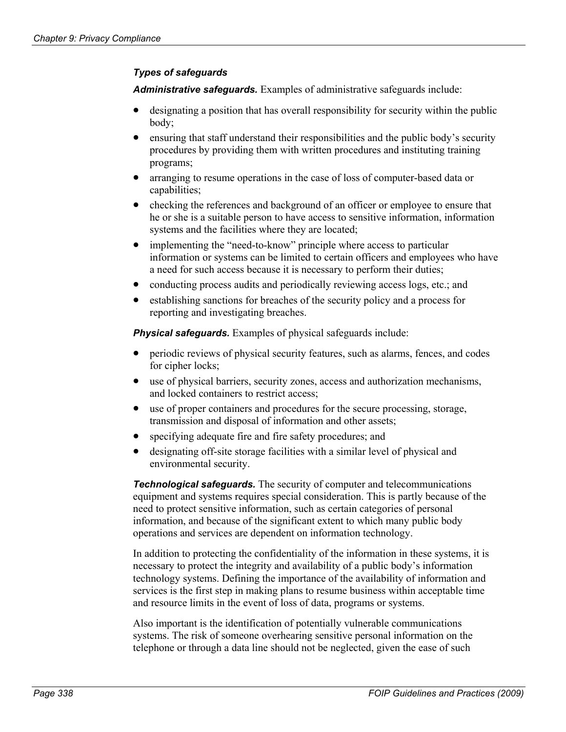## *Types of safeguards*

*Administrative safeguards.* Examples of administrative safeguards include:

- designating a position that has overall responsibility for security within the public body;
- ensuring that staff understand their responsibilities and the public body's security procedures by providing them with written procedures and instituting training programs;
- arranging to resume operations in the case of loss of computer-based data or capabilities;
- $\bullet$ checking the references and background of an officer or employee to ensure that he or she is a suitable person to have access to sensitive information, information systems and the facilities where they are located;
- implementing the "need-to-know" principle where access to particular information or systems can be limited to certain officers and employees who have a need for such access because it is necessary to perform their duties;
- conducting process audits and periodically reviewing access logs, etc.; and
- establishing sanctions for breaches of the security policy and a process for reporting and investigating breaches.

**Physical safeguards.** Examples of physical safeguards include:

- periodic reviews of physical security features, such as alarms, fences, and codes for cipher locks;
- use of physical barriers, security zones, access and authorization mechanisms, and locked containers to restrict access;
- $\bullet$ use of proper containers and procedures for the secure processing, storage, transmission and disposal of information and other assets;
- $\bullet$ specifying adequate fire and fire safety procedures; and
- designating off-site storage facilities with a similar level of physical and environmental security.

*Technological safeguards.* The security of computer and telecommunications equipment and systems requires special consideration. This is partly because of the need to protect sensitive information, such as certain categories of personal information, and because of the significant extent to which many public body operations and services are dependent on information technology.

In addition to protecting the confidentiality of the information in these systems, it is necessary to protect the integrity and availability of a public body's information technology systems. Defining the importance of the availability of information and services is the first step in making plans to resume business within acceptable time and resource limits in the event of loss of data, programs or systems.

Also important is the identification of potentially vulnerable communications systems. The risk of someone overhearing sensitive personal information on the telephone or through a data line should not be neglected, given the ease of such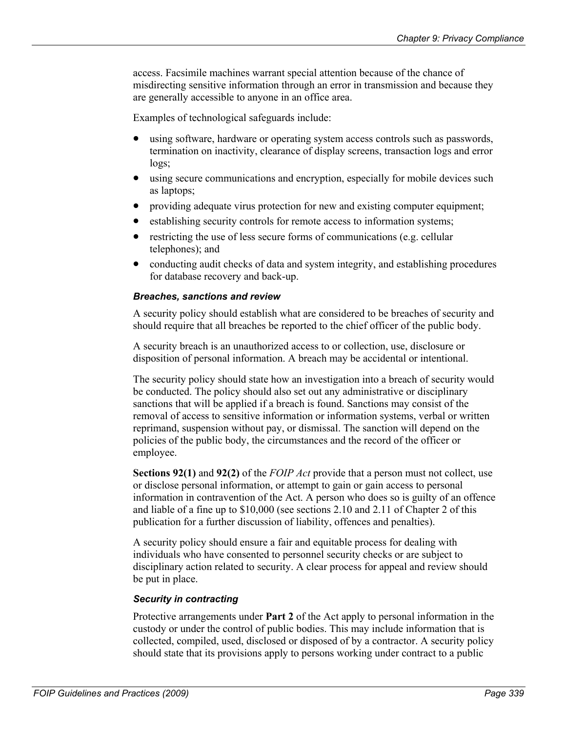access. Facsimile machines warrant special attention because of the chance of misdirecting sensitive information through an error in transmission and because they are generally accessible to anyone in an office area.

Examples of technological safeguards include:

- using software, hardware or operating system access controls such as passwords, termination on inactivity, clearance of display screens, transaction logs and error logs;
- $\bullet$ using secure communications and encryption, especially for mobile devices such as laptops;
- providing adequate virus protection for new and existing computer equipment;
- $\bullet$ establishing security controls for remote access to information systems;
- $\bullet$ restricting the use of less secure forms of communications (e.g. cellular telephones); and
- conducting audit checks of data and system integrity, and establishing procedures for database recovery and back-up.

## *Breaches, sanctions and review*

A security policy should establish what are considered to be breaches of security and should require that all breaches be reported to the chief officer of the public body.

A security breach is an unauthorized access to or collection, use, disclosure or disposition of personal information. A breach may be accidental or intentional.

The security policy should state how an investigation into a breach of security would be conducted. The policy should also set out any administrative or disciplinary sanctions that will be applied if a breach is found. Sanctions may consist of the removal of access to sensitive information or information systems, verbal or written reprimand, suspension without pay, or dismissal. The sanction will depend on the policies of the public body, the circumstances and the record of the officer or employee.

**Sections 92(1)** and **92(2)** of the *FOIP Act* provide that a person must not collect, use or disclose personal information, or attempt to gain or gain access to personal information in contravention of the Act. A person who does so is guilty of an offence and liable of a fine up to \$10,000 (see sections 2.10 and 2.11 of Chapter 2 of this publication for a further discussion of liability, offences and penalties).

A security policy should ensure a fair and equitable process for dealing with individuals who have consented to personnel security checks or are subject to disciplinary action related to security. A clear process for appeal and review should be put in place.

## *Security in contracting*

Protective arrangements under **Part 2** of the Act apply to personal information in the custody or under the control of public bodies. This may include information that is collected, compiled, used, disclosed or disposed of by a contractor. A security policy should state that its provisions apply to persons working under contract to a public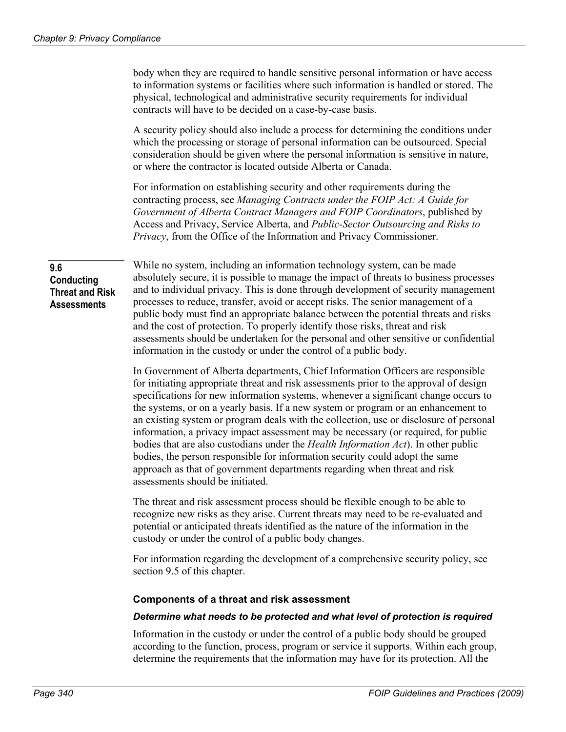body when they are required to handle sensitive personal information or have access to information systems or facilities where such information is handled or stored. The physical, technological and administrative security requirements for individual contracts will have to be decided on a case-by-case basis.

A security policy should also include a process for determining the conditions under which the processing or storage of personal information can be outsourced. Special consideration should be given where the personal information is sensitive in nature, or where the contractor is located outside Alberta or Canada.

For information on establishing security and other requirements during the contracting process, see *Managing Contracts under the FOIP Act: A Guide for Government of Alberta Contract Managers and FOIP Coordinators*, published by Access and Privacy, Service Alberta, and *Public-Sector Outsourcing and Risks to Privacy*, from the Office of the Information and Privacy Commissioner.

**9.6 Conducting Threat and Risk Assessments** 

While no system, including an information technology system, can be made absolutely secure, it is possible to manage the impact of threats to business processes and to individual privacy. This is done through development of security management processes to reduce, transfer, avoid or accept risks. The senior management of a public body must find an appropriate balance between the potential threats and risks and the cost of protection. To properly identify those risks, threat and risk assessments should be undertaken for the personal and other sensitive or confidential information in the custody or under the control of a public body.

In Government of Alberta departments, Chief Information Officers are responsible for initiating appropriate threat and risk assessments prior to the approval of design specifications for new information systems, whenever a significant change occurs to the systems, or on a yearly basis. If a new system or program or an enhancement to an existing system or program deals with the collection, use or disclosure of personal information, a privacy impact assessment may be necessary (or required, for public bodies that are also custodians under the *Health Information Act*). In other public bodies, the person responsible for information security could adopt the same approach as that of government departments regarding when threat and risk assessments should be initiated.

The threat and risk assessment process should be flexible enough to be able to recognize new risks as they arise. Current threats may need to be re-evaluated and potential or anticipated threats identified as the nature of the information in the custody or under the control of a public body changes.

For information regarding the development of a comprehensive security policy, see section 9.5 of this chapter.

#### **Components of a threat and risk assessment**

#### *Determine what needs to be protected and what level of protection is required*

Information in the custody or under the control of a public body should be grouped according to the function, process, program or service it supports. Within each group, determine the requirements that the information may have for its protection. All the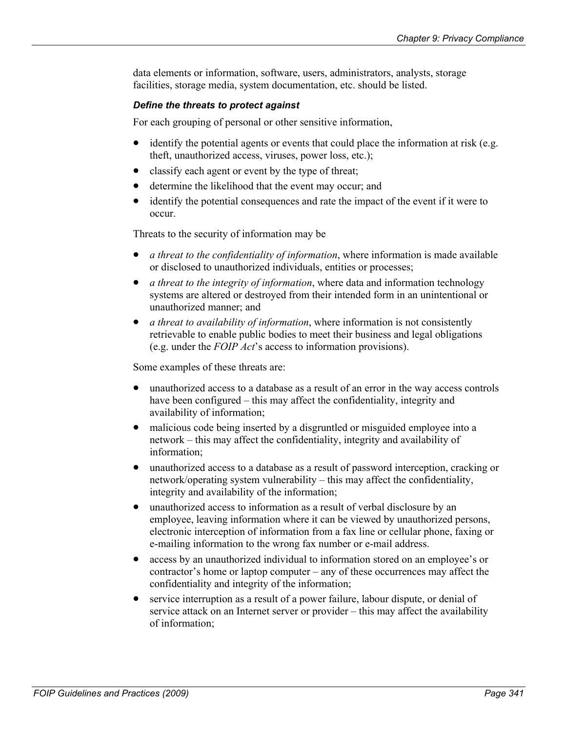data elements or information, software, users, administrators, analysts, storage facilities, storage media, system documentation, etc. should be listed.

## *Define the threats to protect against*

For each grouping of personal or other sensitive information,

- $\bullet$ identify the potential agents or events that could place the information at risk (e.g. theft, unauthorized access, viruses, power loss, etc.);
- $\bullet$ classify each agent or event by the type of threat;
- determine the likelihood that the event may occur; and
- $\bullet$ identify the potential consequences and rate the impact of the event if it were to occur.

Threats to the security of information may be

- *a threat to the confidentiality of information*, where information is made available or disclosed to unauthorized individuals, entities or processes;
- *a threat to the integrity of information*, where data and information technology systems are altered or destroyed from their intended form in an unintentional or unauthorized manner; and
- *a threat to availability of information*, where information is not consistently retrievable to enable public bodies to meet their business and legal obligations (e.g. under the *FOIP Act*'s access to information provisions).

Some examples of these threats are:

- unauthorized access to a database as a result of an error in the way access controls have been configured – this may affect the confidentiality, integrity and availability of information;
- malicious code being inserted by a disgruntled or misguided employee into a network – this may affect the confidentiality, integrity and availability of information;
- $\bullet$ unauthorized access to a database as a result of password interception, cracking or network/operating system vulnerability – this may affect the confidentiality, integrity and availability of the information;
- $\bullet$ unauthorized access to information as a result of verbal disclosure by an employee, leaving information where it can be viewed by unauthorized persons, electronic interception of information from a fax line or cellular phone, faxing or e-mailing information to the wrong fax number or e-mail address.
- access by an unauthorized individual to information stored on an employee's or contractor's home or laptop computer – any of these occurrences may affect the confidentiality and integrity of the information;
- $\bullet$ service interruption as a result of a power failure, labour dispute, or denial of service attack on an Internet server or provider – this may affect the availability of information;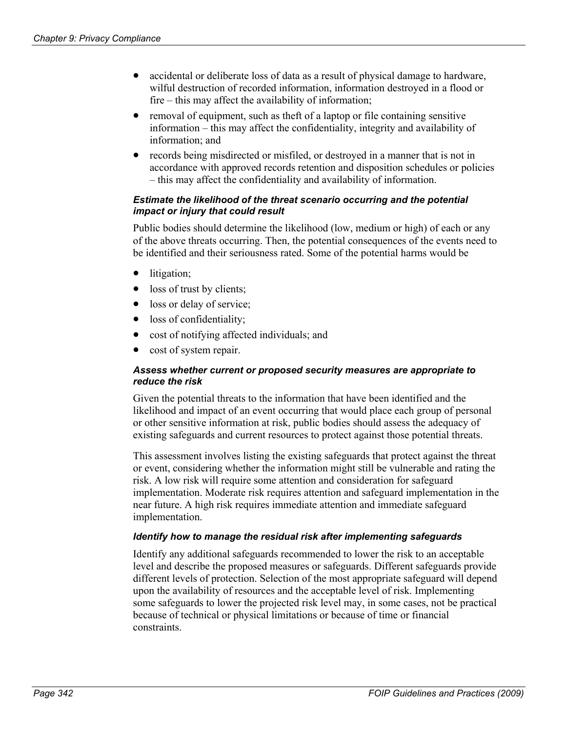- accidental or deliberate loss of data as a result of physical damage to hardware, wilful destruction of recorded information, information destroyed in a flood or fire – this may affect the availability of information;
- $\bullet$ removal of equipment, such as theft of a laptop or file containing sensitive information – this may affect the confidentiality, integrity and availability of information; and
- $\bullet$ records being misdirected or misfiled, or destroyed in a manner that is not in accordance with approved records retention and disposition schedules or policies – this may affect the confidentiality and availability of information.

#### *Estimate the likelihood of the threat scenario occurring and the potential impact or injury that could result*

Public bodies should determine the likelihood (low, medium or high) of each or any of the above threats occurring. Then, the potential consequences of the events need to be identified and their seriousness rated. Some of the potential harms would be

- litigation;
- loss of trust by clients;
- loss or delay of service;
- loss of confidentiality;
- cost of notifying affected individuals; and
- cost of system repair.

#### *Assess whether current or proposed security measures are appropriate to reduce the risk*

Given the potential threats to the information that have been identified and the likelihood and impact of an event occurring that would place each group of personal or other sensitive information at risk, public bodies should assess the adequacy of existing safeguards and current resources to protect against those potential threats.

This assessment involves listing the existing safeguards that protect against the threat or event, considering whether the information might still be vulnerable and rating the risk. A low risk will require some attention and consideration for safeguard implementation. Moderate risk requires attention and safeguard implementation in the near future. A high risk requires immediate attention and immediate safeguard implementation.

#### *Identify how to manage the residual risk after implementing safeguards*

Identify any additional safeguards recommended to lower the risk to an acceptable level and describe the proposed measures or safeguards. Different safeguards provide different levels of protection. Selection of the most appropriate safeguard will depend upon the availability of resources and the acceptable level of risk. Implementing some safeguards to lower the projected risk level may, in some cases, not be practical because of technical or physical limitations or because of time or financial constraints.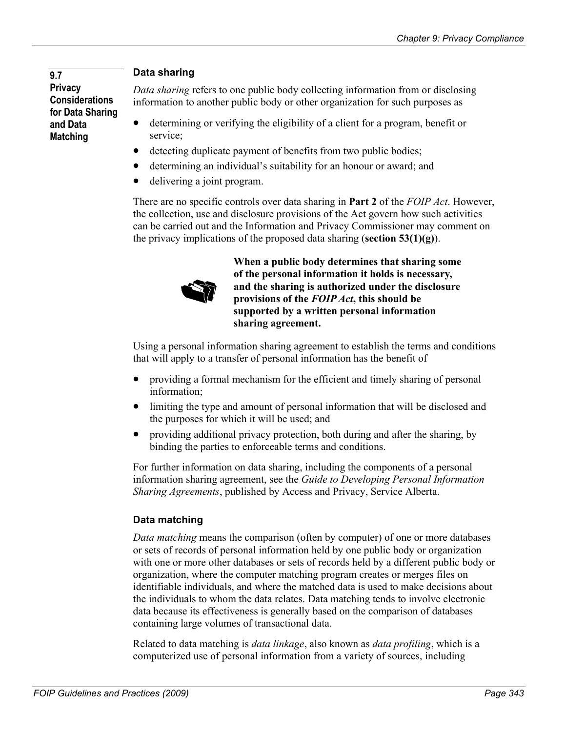# **Privacy Considerations for Data Sharing and Data Matching**

# **Data sharing 9.7**

*Data sharing* refers to one public body collecting information from or disclosing information to another public body or other organization for such purposes as

- determining or verifying the eligibility of a client for a program, benefit or service;
- $\bullet$ detecting duplicate payment of benefits from two public bodies;
- determining an individual's suitability for an honour or award; and
- delivering a joint program.

There are no specific controls over data sharing in **Part 2** of the *FOIP Act*. However, the collection, use and disclosure provisions of the Act govern how such activities can be carried out and the Information and Privacy Commissioner may comment on the privacy implications of the proposed data sharing (**section 53(1)(g)**).



**When a public body determines that sharing some of the personal information it holds is necessary, and the sharing is authorized under the disclosure provisions of the** *FOIP Act***, this should be supported by a written personal information sharing agreement.** 

Using a personal information sharing agreement to establish the terms and conditions that will apply to a transfer of personal information has the benefit of

- $\bullet$ providing a formal mechanism for the efficient and timely sharing of personal information;
- $\bullet$ limiting the type and amount of personal information that will be disclosed and the purposes for which it will be used; and
- $\bullet$ providing additional privacy protection, both during and after the sharing, by binding the parties to enforceable terms and conditions.

For further information on data sharing, including the components of a personal information sharing agreement, see the *Guide to Developing Personal Information Sharing Agreements*, published by Access and Privacy, Service Alberta.

# **Data matching**

*Data matching* means the comparison (often by computer) of one or more databases or sets of records of personal information held by one public body or organization with one or more other databases or sets of records held by a different public body or organization, where the computer matching program creates or merges files on identifiable individuals, and where the matched data is used to make decisions about the individuals to whom the data relates. Data matching tends to involve electronic data because its effectiveness is generally based on the comparison of databases containing large volumes of transactional data.

Related to data matching is *data linkage*, also known as *data profiling*, which is a computerized use of personal information from a variety of sources, including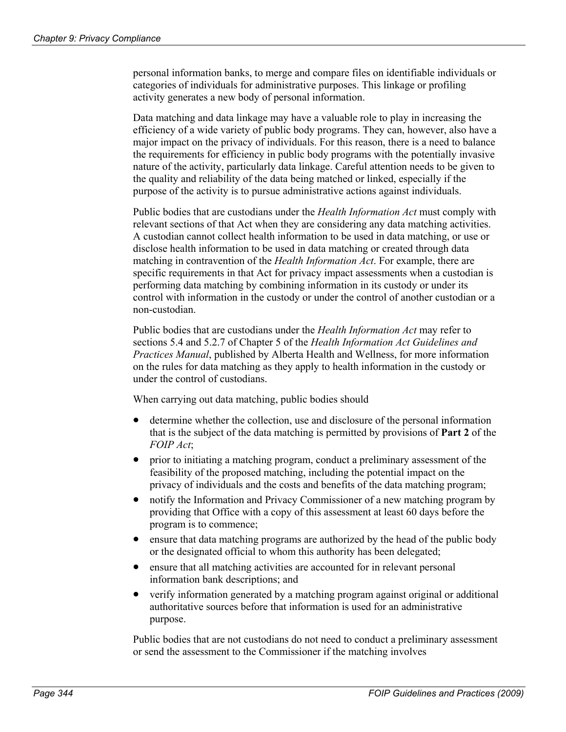personal information banks, to merge and compare files on identifiable individuals or categories of individuals for administrative purposes. This linkage or profiling activity generates a new body of personal information.

Data matching and data linkage may have a valuable role to play in increasing the efficiency of a wide variety of public body programs. They can, however, also have a major impact on the privacy of individuals. For this reason, there is a need to balance the requirements for efficiency in public body programs with the potentially invasive nature of the activity, particularly data linkage. Careful attention needs to be given to the quality and reliability of the data being matched or linked, especially if the purpose of the activity is to pursue administrative actions against individuals.

Public bodies that are custodians under the *Health Information Act* must comply with relevant sections of that Act when they are considering any data matching activities. A custodian cannot collect health information to be used in data matching, or use or disclose health information to be used in data matching or created through data matching in contravention of the *Health Information Act*. For example, there are specific requirements in that Act for privacy impact assessments when a custodian is performing data matching by combining information in its custody or under its control with information in the custody or under the control of another custodian or a non-custodian.

Public bodies that are custodians under the *Health Information Act* may refer to sections 5.4 and 5.2.7 of Chapter 5 of the *Health Information Act Guidelines and Practices Manual*, published by Alberta Health and Wellness, for more information on the rules for data matching as they apply to health information in the custody or under the control of custodians.

When carrying out data matching, public bodies should

- determine whether the collection, use and disclosure of the personal information that is the subject of the data matching is permitted by provisions of **Part 2** of the *FOIP Act*;
- prior to initiating a matching program, conduct a preliminary assessment of the feasibility of the proposed matching, including the potential impact on the privacy of individuals and the costs and benefits of the data matching program;
- $\bullet$ notify the Information and Privacy Commissioner of a new matching program by providing that Office with a copy of this assessment at least 60 days before the program is to commence;
- $\bullet$ ensure that data matching programs are authorized by the head of the public body or the designated official to whom this authority has been delegated;
- $\bullet$ ensure that all matching activities are accounted for in relevant personal information bank descriptions; and
- verify information generated by a matching program against original or additional authoritative sources before that information is used for an administrative purpose.

Public bodies that are not custodians do not need to conduct a preliminary assessment or send the assessment to the Commissioner if the matching involves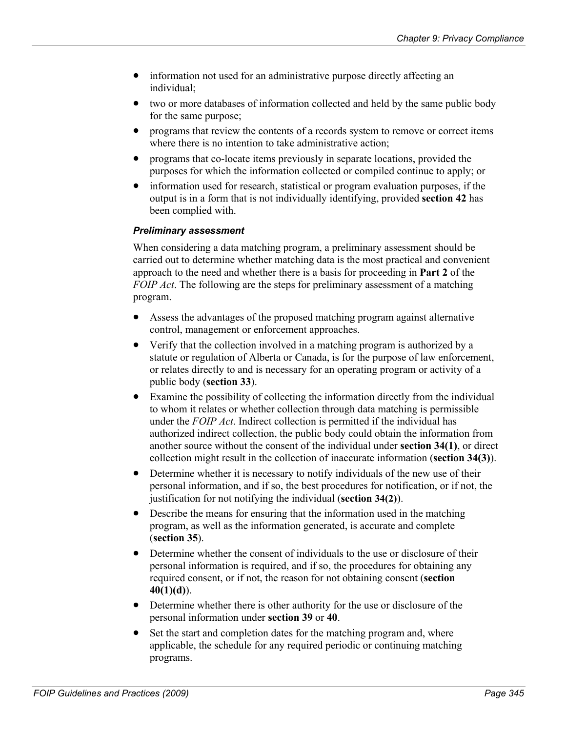- information not used for an administrative purpose directly affecting an individual;
- $\bullet$ two or more databases of information collected and held by the same public body for the same purpose;
- programs that review the contents of a records system to remove or correct items where there is no intention to take administrative action;
- $\bullet$ programs that co-locate items previously in separate locations, provided the purposes for which the information collected or compiled continue to apply; or
- $\bullet$ information used for research, statistical or program evaluation purposes, if the output is in a form that is not individually identifying, provided **section 42** has been complied with.

#### *Preliminary assessment*

When considering a data matching program, a preliminary assessment should be carried out to determine whether matching data is the most practical and convenient approach to the need and whether there is a basis for proceeding in **Part 2** of the *FOIP Act*. The following are the steps for preliminary assessment of a matching program.

- $\bullet$ Assess the advantages of the proposed matching program against alternative control, management or enforcement approaches.
- Verify that the collection involved in a matching program is authorized by a statute or regulation of Alberta or Canada, is for the purpose of law enforcement, or relates directly to and is necessary for an operating program or activity of a public body (**section 33**).
- $\bullet$ Examine the possibility of collecting the information directly from the individual to whom it relates or whether collection through data matching is permissible under the *FOIP Act*. Indirect collection is permitted if the individual has authorized indirect collection, the public body could obtain the information from another source without the consent of the individual under **section 34(1)**, or direct collection might result in the collection of inaccurate information (**section 34(3)**).
- $\bullet$ Determine whether it is necessary to notify individuals of the new use of their personal information, and if so, the best procedures for notification, or if not, the justification for not notifying the individual (**section 34(2)**).
- Describe the means for ensuring that the information used in the matching program, as well as the information generated, is accurate and complete (**section 35**).
- $\bullet$ Determine whether the consent of individuals to the use or disclosure of their personal information is required, and if so, the procedures for obtaining any required consent, or if not, the reason for not obtaining consent (**section 40(1)(d)**).
- Determine whether there is other authority for the use or disclosure of the personal information under **section 39** or **40**.
- Set the start and completion dates for the matching program and, where applicable, the schedule for any required periodic or continuing matching programs.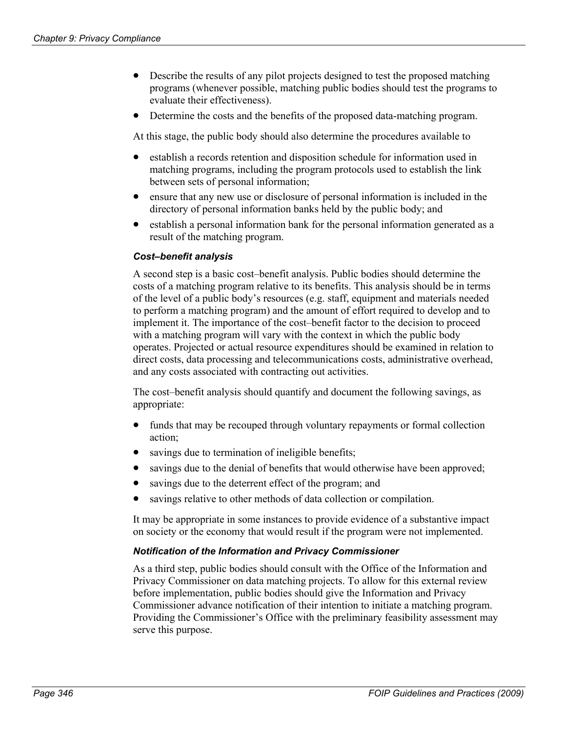- Describe the results of any pilot projects designed to test the proposed matching programs (whenever possible, matching public bodies should test the programs to evaluate their effectiveness).
- Determine the costs and the benefits of the proposed data-matching program.

At this stage, the public body should also determine the procedures available to

- establish a records retention and disposition schedule for information used in matching programs, including the program protocols used to establish the link between sets of personal information;
- $\bullet$ ensure that any new use or disclosure of personal information is included in the directory of personal information banks held by the public body; and
- establish a personal information bank for the personal information generated as a result of the matching program.

#### *Cost–benefit analysis*

A second step is a basic cost–benefit analysis. Public bodies should determine the costs of a matching program relative to its benefits. This analysis should be in terms of the level of a public body's resources (e.g. staff, equipment and materials needed to perform a matching program) and the amount of effort required to develop and to implement it. The importance of the cost–benefit factor to the decision to proceed with a matching program will vary with the context in which the public body operates. Projected or actual resource expenditures should be examined in relation to direct costs, data processing and telecommunications costs, administrative overhead, and any costs associated with contracting out activities.

The cost–benefit analysis should quantify and document the following savings, as appropriate:

- $\bullet$ funds that may be recouped through voluntary repayments or formal collection action;
- $\bullet$ savings due to termination of ineligible benefits;
- savings due to the denial of benefits that would otherwise have been approved;
- savings due to the deterrent effect of the program; and
- savings relative to other methods of data collection or compilation.

It may be appropriate in some instances to provide evidence of a substantive impact on society or the economy that would result if the program were not implemented.

#### *Notification of the Information and Privacy Commissioner*

As a third step, public bodies should consult with the Office of the Information and Privacy Commissioner on data matching projects. To allow for this external review before implementation, public bodies should give the Information and Privacy Commissioner advance notification of their intention to initiate a matching program. Providing the Commissioner's Office with the preliminary feasibility assessment may serve this purpose.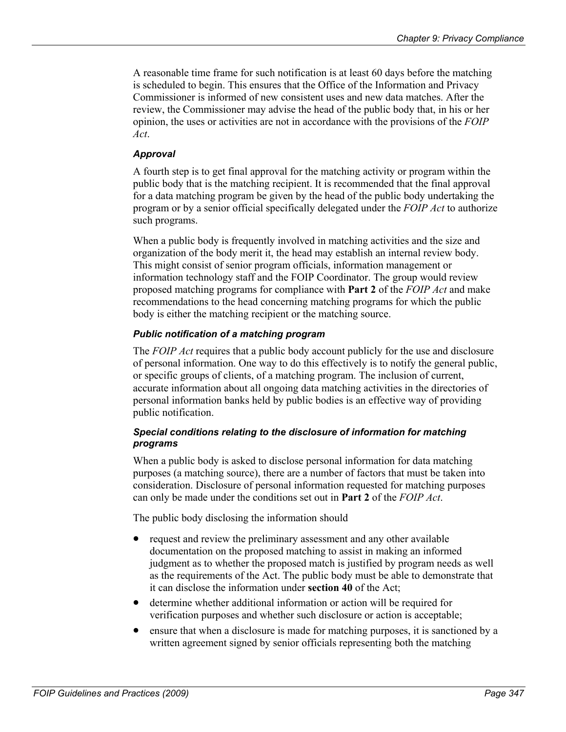A reasonable time frame for such notification is at least 60 days before the matching is scheduled to begin. This ensures that the Office of the Information and Privacy Commissioner is informed of new consistent uses and new data matches. After the review, the Commissioner may advise the head of the public body that, in his or her opinion, the uses or activities are not in accordance with the provisions of the *FOIP Act*.

## *Approval*

A fourth step is to get final approval for the matching activity or program within the public body that is the matching recipient. It is recommended that the final approval for a data matching program be given by the head of the public body undertaking the program or by a senior official specifically delegated under the *FOIP Act* to authorize such programs.

When a public body is frequently involved in matching activities and the size and organization of the body merit it, the head may establish an internal review body. This might consist of senior program officials, information management or information technology staff and the FOIP Coordinator. The group would review proposed matching programs for compliance with **Part 2** of the *FOIP Act* and make recommendations to the head concerning matching programs for which the public body is either the matching recipient or the matching source.

## *Public notification of a matching program*

The *FOIP Act* requires that a public body account publicly for the use and disclosure of personal information. One way to do this effectively is to notify the general public, or specific groups of clients, of a matching program. The inclusion of current, accurate information about all ongoing data matching activities in the directories of personal information banks held by public bodies is an effective way of providing public notification.

## *Special conditions relating to the disclosure of information for matching programs*

When a public body is asked to disclose personal information for data matching purposes (a matching source), there are a number of factors that must be taken into consideration. Disclosure of personal information requested for matching purposes can only be made under the conditions set out in **Part 2** of the *FOIP Act*.

The public body disclosing the information should

- request and review the preliminary assessment and any other available documentation on the proposed matching to assist in making an informed judgment as to whether the proposed match is justified by program needs as well as the requirements of the Act. The public body must be able to demonstrate that it can disclose the information under **section 40** of the Act;
- determine whether additional information or action will be required for verification purposes and whether such disclosure or action is acceptable;
- $\bullet$ ensure that when a disclosure is made for matching purposes, it is sanctioned by a written agreement signed by senior officials representing both the matching